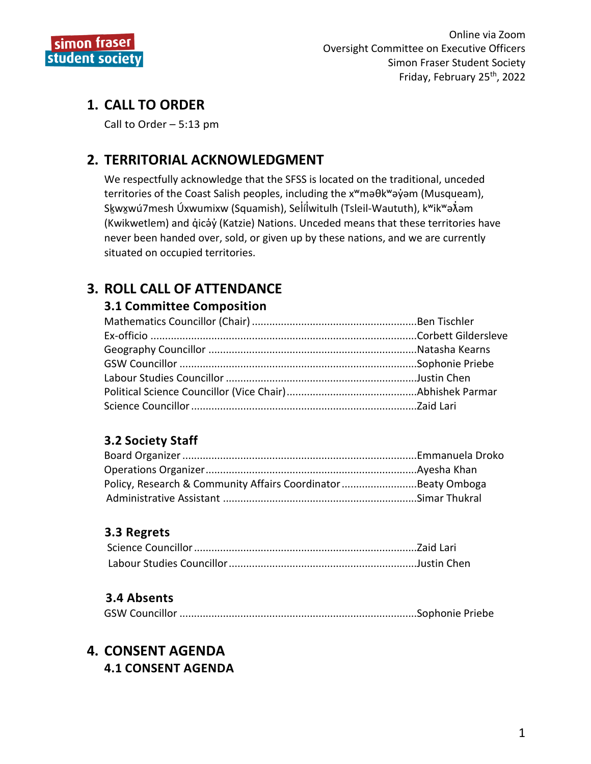

## **1. CALL TO ORDER**

Call to Order – 5:13 pm

## **2. TERRITORIAL ACKNOWLEDGMENT**

We respectfully acknowledge that the SFSS is located on the traditional, unceded territories of the Coast Salish peoples, including the xʷməθkʷəy̓əm (Musqueam), Skwxwú7mesh Úxwumixw (Squamish), Selílwitulh (Tsleil-Waututh), k<sup>w</sup>ik<sup>w</sup>ə $\hat{x}$ əm (Kwikwetlem) and q̓icə̓y̓(Katzie) Nations. Unceded means that these territories have never been handed over, sold, or given up by these nations, and we are currently situated on occupied territories.

## **3. ROLL CALL OF ATTENDANCE**

#### **3.1 Committee Composition**

## **3.2 Society Staff**

| Policy, Research & Community Affairs CoordinatorBeaty Omboga |  |
|--------------------------------------------------------------|--|
|                                                              |  |

#### **3.3 Regrets**

#### **3.4 Absents**

|--|--|--|--|--|

## **4. CONSENT AGENDA**

**4.1 CONSENT AGENDA**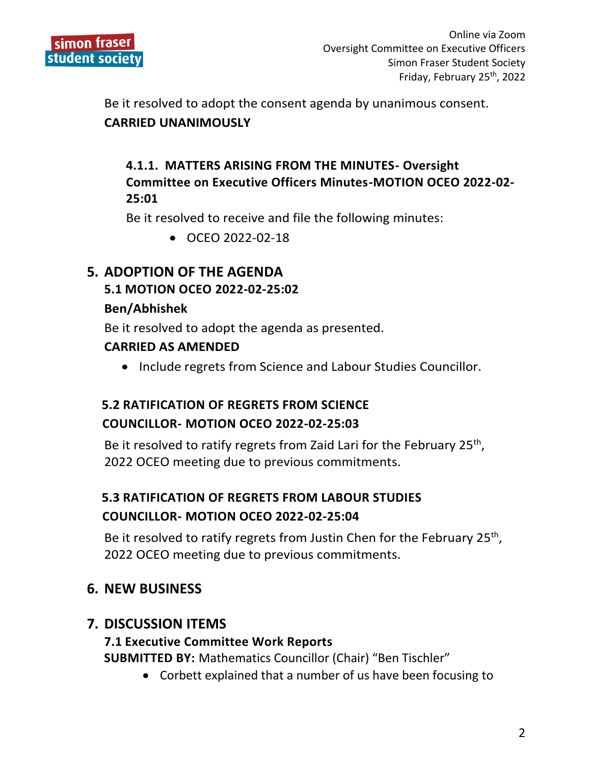

Be it resolved to adopt the consent agenda by unanimous consent.

#### **CARRIED UNANIMOUSLY**

## **4.1.1. MATTERS ARISING FROM THE MINUTES- Oversight Committee on Executive Officers Minutes-MOTION OCEO 2022-02- 25:01**

Be it resolved to receive and file the following minutes:

OCEO 2022-02-18

# **5. ADOPTION OF THE AGENDA**

#### **5.1 MOTION OCEO 2022-02-25:02**

#### **Ben/Abhishek**

Be it resolved to adopt the agenda as presented.

#### **CARRIED AS AMENDED**

• Include regrets from Science and Labour Studies Councillor.

## **5.2 RATIFICATION OF REGRETS FROM SCIENCE COUNCILLOR- MOTION OCEO 2022-02-25:03**

Be it resolved to ratify regrets from Zaid Lari for the February 25<sup>th</sup>, 2022 OCEO meeting due to previous commitments.

## **5.3 RATIFICATION OF REGRETS FROM LABOUR STUDIES COUNCILLOR- MOTION OCEO 2022-02-25:04**

Be it resolved to ratify regrets from Justin Chen for the February 25<sup>th</sup>, 2022 OCEO meeting due to previous commitments.

## **6. NEW BUSINESS**

## **7. DISCUSSION ITEMS**

#### **7.1 Executive Committee Work Reports**

**SUBMITTED BY:** Mathematics Councillor (Chair) "Ben Tischler"

Corbett explained that a number of us have been focusing to